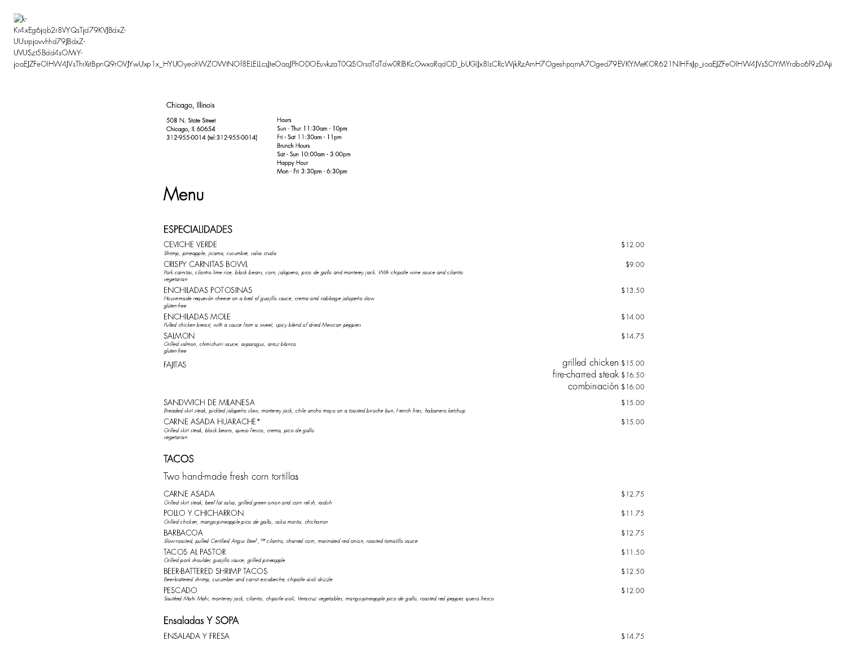$\rightarrow$ Kr4xEg6jqb2r8VYQsTjd79KVJBdxZ-UUsrpjovvhhd79JBdxZ-UVUSzt5Bdd4sOMrY[joaEJZFeOIHW4JVsThrXitBpnQ9rOVJYwUxp1x\\_HYUOyeohWZOWtNOf8ELELLcsJte](https://www.cantinalaredo.com/)OaqJPhODOEuvkzaT0QSOrsdTdTdw0RlBKcOwxaRqdOD\_bUGIJx8IsCRcWjkRzAmH7OgeshpqmA7Oged79EVKYMeKOR621NIHFriJp\_ioaEJZFeOIHW4JVsSOYMYrdbo6f9zDAji

#### Chicago, Illinois

508 N. State Street Chicago, IL 60654 312-955-0014 [\(tel:312-955-0014\)](tel:312-955-0014)

Hours Sun - Thur 11:30am -10pm Fri - Sat 11:30am -11pm Brunch Hours Sat - Sun 10:00am -3:00pm Happy Hour Mon - Fri 3:30pm - 6:30pm

# Menu

## ESPECIALIDADES

| <b>CEVICHE VERDE</b><br>Shrimp, pineapple, jicama, cucumber, salsa cruda                                                                                                            | \$12.00                                                                      |
|-------------------------------------------------------------------------------------------------------------------------------------------------------------------------------------|------------------------------------------------------------------------------|
| <b>CRISPY CARNITAS BOWL</b><br>Pork carnitas, cilantro lime rice, black beans, corn, jalapeno, pico de gallo and monterey jack. With chipotle wine sauce and cilantro<br>vegetarian | \$9.00                                                                       |
| <b>ENCHILADAS POTOSINAS</b><br>House-made requesón cheese on a bed of guajillo sauce, crema and cabbage jalapeño slaw<br>gluten-free                                                | \$13.50                                                                      |
| <b>ENCHILADAS MOLE</b><br>Pulled chicken breast, with a sauce from a sweet, spicy blend of dried Mexican peppers                                                                    | \$14.00                                                                      |
| SALMON<br>Grilled salmon, chimichurri sauce, asparagus, arroz blanco<br>gluten-free                                                                                                 | \$14.75                                                                      |
| <b>FAIITAS</b>                                                                                                                                                                      | grilled chicken \$15.00<br>fire-charred steak \$16.50<br>combinación \$16.00 |
| SANDWICH DE MILANESA<br>Breaded skirt steak, pickled jalapeño slaw, monterey jack, chile ancho mayo on a toasted brioche bun, French fries, habanero ketchup                        | \$15.00                                                                      |
| CARNE ASADA HUARACHE*<br>Grilled skirt steak, black beans, queso fresco, crema, pico de gallo<br>vegetarian                                                                         | \$15.00                                                                      |
| TACOS                                                                                                                                                                               |                                                                              |
| Two hand-made fresh corn tortillas                                                                                                                                                  |                                                                              |
| <b>CARNE ASADA</b><br>Grilled skirt steak, beef fat salsa, grilled green onion and corn relish, radish                                                                              | \$12.75                                                                      |
| POLLO Y CHICHARRON<br>Grilled chicken, mango-pineapple pico de gallo, salsa morita, chicharron                                                                                      | \$11.75                                                                      |
| <b>BARBACOA</b><br>Slow-roasted, pulled Certified Angus Beef , <sup>TM</sup> cilantro, charred corn, marinated red onion, roasted tomatillo sauce                                   | \$12.75                                                                      |
| TACOS AL PASTOR<br>Grilled pork shoulder, guajillo sauce, grilled pineapple                                                                                                         | \$11.50                                                                      |
| <b>BEER-BATTERED SHRIMP TACOS</b><br>Beer-battered shrimp, cucumber and carrot escabeche, chipotle aioli drizzle                                                                    | \$12.50                                                                      |
| PESCADO<br>Sautéed Mahi Mahi, monterey jack, cilantro, chipotle aioli, Veracruz vegetables, mango-pineapple pico de gallo, roasted red pepper, queso fresco                         | \$12.00                                                                      |

### Ensaladas Y SOPA

ENSALADA Y FRESA \$14.75